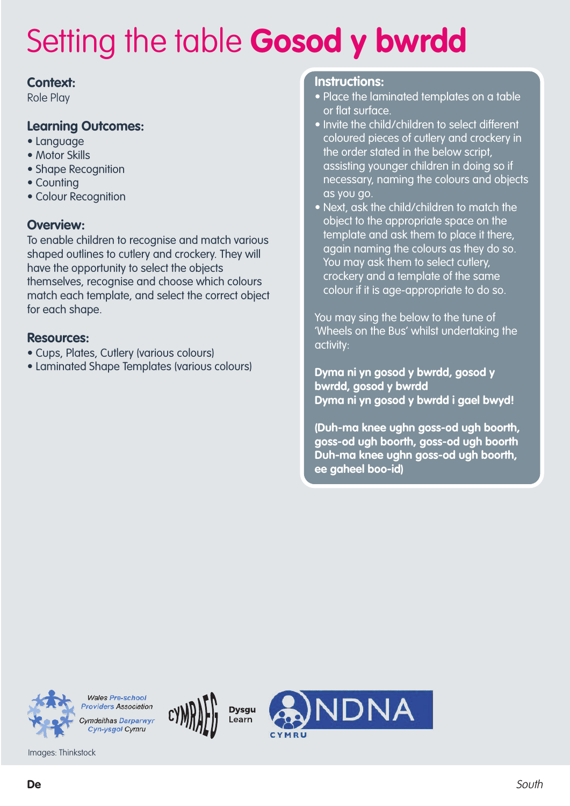### **Context:**

Role Play

### **Learning Outcomes:**

- Language
- Motor Skills
- Shape Recognition
- Counting
- Colour Recognition

### **Overview:**

To enable children to recognise and match various shaped outlines to cutlery and crockery. They will have the opportunity to select the objects themselves, recognise and choose which colours match each template, and select the correct object for each shape.

### **Resources:**

- Cups, Plates, Cutlery (various colours)
- Laminated Shape Templates (various colours)

#### **Instructions:**

- Place the laminated templates on a table or flat surface.
- Invite the child/children to select different coloured pieces of cutlery and crockery in the order stated in the below script, assisting younger children in doing so if necessary, naming the colours and objects as you go.
- Next, ask the child/children to match the object to the appropriate space on the template and ask them to place it there, again naming the colours as they do so. You may ask them to select cutlery, crockery and a template of the same colour if it is age-appropriate to do so.

You may sing the below to the tune of 'Wheels on the Bus' whilst undertaking the activity:

**Dyma ni yn gosod y bwrdd, gosod y bwrdd, gosod y bwrdd Dyma ni yn gosod y bwrdd i gael bwyd!**

**(Duh-ma knee ughn goss-od ugh boorth, goss-od ugh boorth, goss-od ugh boorth Duh-ma knee ughn goss-od ugh boorth, ee gaheel boo-id)**

**JDNA** 



**Wales Pre-school Providers Association Cymdeithas Darparwyr** Cyn-ysgol Cymru

**Dysau** 

Learn

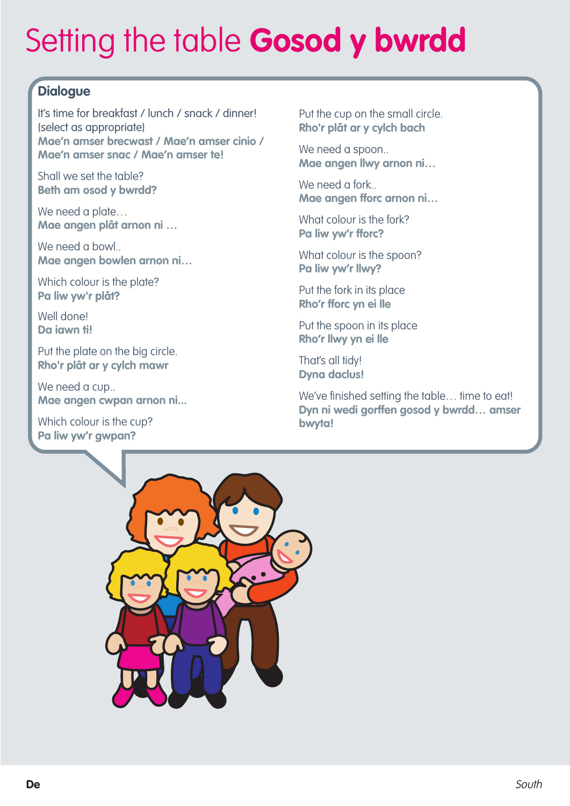## **Dialogue**

It's time for breakfast / lunch / snack / dinner! (select as appropriate) **Mae'n amser brecwast / Mae'n amser cinio / Mae'n amser snac / Mae'n amser te!**

Shall we set the table? **Beth am osod y bwrdd?**

We need a plate... **Mae angen plât arnon ni …**

We need a bowl.. **Mae angen bowlen arnon ni…**

Which colour is the plate? **Pa liw yw'r plât?**

Well done! **Da iawn ti!**

Put the plate on the big circle. **Rho'r plât ar y cylch mawr**

We need a cup.. **Mae angen cwpan arnon ni...**

Which colour is the cup? **Pa liw yw'r gwpan?**

Put the cup on the small circle. **Rho'r plât ar y cylch bach**

We need a spoon.. **Mae angen llwy arnon ni…**

We need a fork.. **Mae angen fforc arnon ni…**

What colour is the fork? **Pa liw yw'r fforc?**

What colour is the spoon? **Pa liw yw'r llwy?**

Put the fork in its place **Rho'r fforc yn ei lle**

Put the spoon in its place **Rho'r llwy yn ei lle**

That's all tidy! **Dyna daclus!**

We've finished setting the table... time to eat! **Dyn ni wedi gorffen gosod y bwrdd… amser bwyta!**

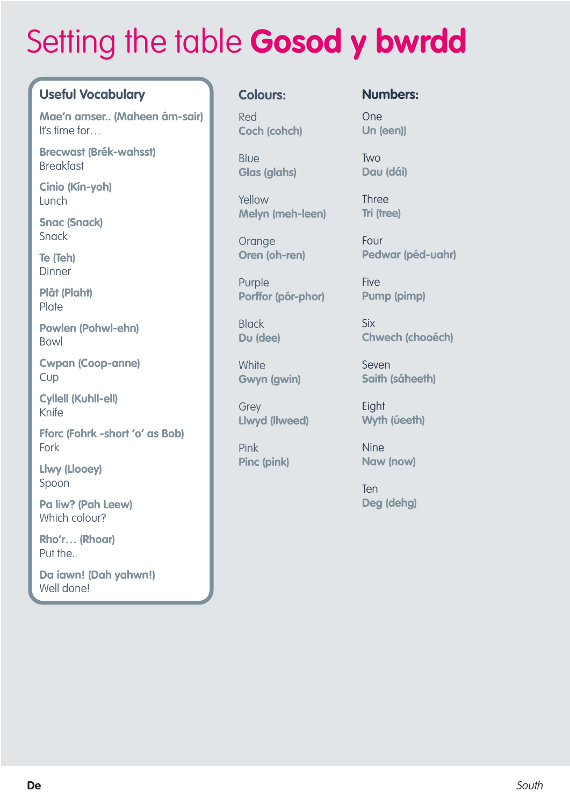## **Useful Vocabulary**

**Mae'n amser.. (Maheen ám-sair)** It's time for…

**Brecwast (Brék-wahsst)** Breakfast

**Cinio (Kín-yoh)** Lunch

**Snac (Snack)** Snack

**Te (Teh)** Dinner

**Plât (Plaht) Plate** 

**Powlen (Pohwl-ehn)** Bowl

**Cwpan (Coop-anne)** Cup

**Cyllell (Kuhll-ell)** Knife

**Fforc (Fohrk -short 'o' as Bob)** Fork

**Llwy (Llooey)** Spoon

**Pa liw? (Pah Leew)** Which colour?

**Rho'r… (Rhoar)** Put the..

**Da iawn! (Dah yahwn!)** Well done!

### **Colours:**

Red **Coch (cohch)**

Blue **Glas (glahs)**

Yellow **Melyn (meh-leen)**

**Orange Oren (oh-ren)**

Purple **Porffor (pór-phor)**

**Black Du (dee)**

**White Gwyn (gwin)**

**Grev Llwyd (llweed)**

Pink **Pinc (pink)**

### **Numbers:**

One **Un (een))**

Two **Dau (dái)**

Three **Tri (tree)**

Four **Pedwar (péd-uahr)**

**Five Pump (pimp)**

Six **Chwech (chooéch)**

Seven **Saith (sáheeth)**

**Eight Wyth (úeeth)**

Nine **Naw (now)**

**Ten Deg (dehg)**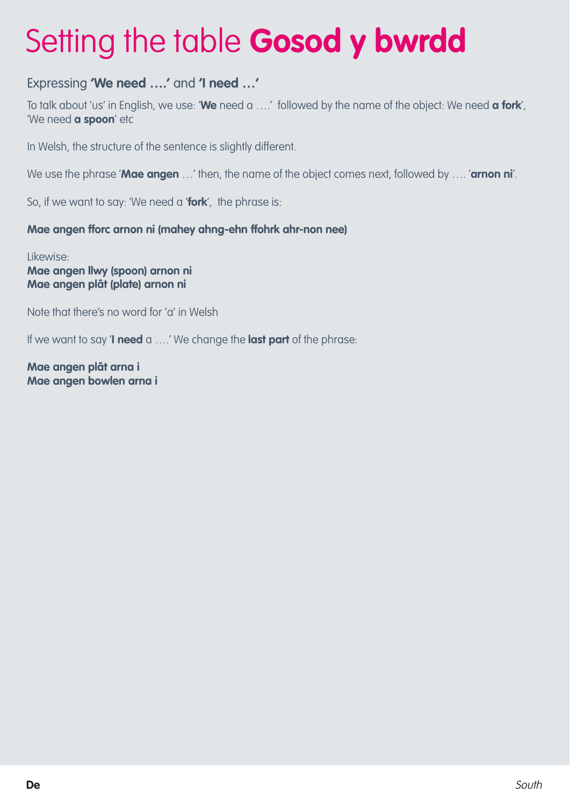## Expressing **'We need ….'** and **'I need …'**

To talk about 'us' in English, we use: '**We** need a ….' followed by the name of the object: We need **a fork**', 'We need **a spoon**' etc

In Welsh, the structure of the sentence is slightly different.

We use the phrase '**Mae angen** …' then, the name of the object comes next, followed by …. '**arnon ni**'.

So, if we want to say: 'We need a '**fork**', the phrase is:

### **Mae angen fforc arnon ni (mahey ahng-ehn ffohrk ahr-non nee)**

Likewise: **Mae angen llwy (spoon) arnon ni Mae angen plât (plate) arnon ni**

Note that there's no word for 'a' in Welsh

If we want to say '**I need** a ….' We change the **last part** of the phrase:

**Mae angen plât arna i Mae angen bowlen arna i**